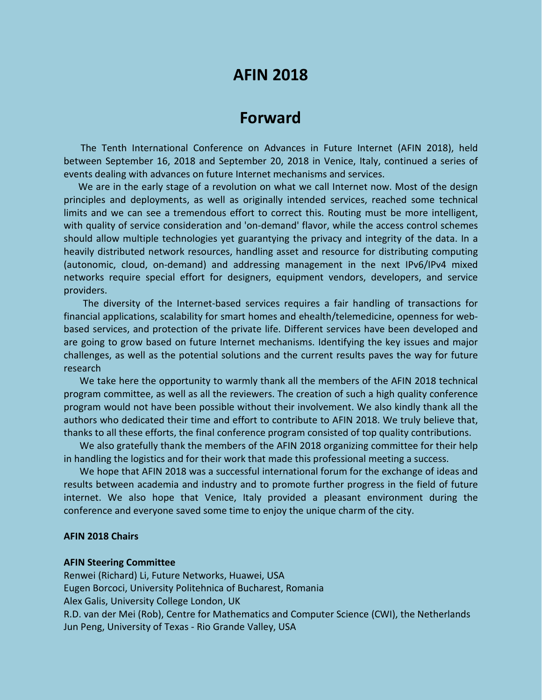# **AFIN 2018**

# **Forward**

The Tenth International Conference on Advances in Future Internet (AFIN 2018), held between September 16, 2018 and September 20, 2018 in Venice, Italy, continued a series of events dealing with advances on future Internet mechanisms and services.

We are in the early stage of a revolution on what we call Internet now. Most of the design principles and deployments, as well as originally intended services, reached some technical limits and we can see a tremendous effort to correct this. Routing must be more intelligent, with quality of service consideration and 'on-demand' flavor, while the access control schemes should allow multiple technologies yet guarantying the privacy and integrity of the data. In a heavily distributed network resources, handling asset and resource for distributing computing (autonomic, cloud, on-demand) and addressing management in the next IPv6/IPv4 mixed networks require special effort for designers, equipment vendors, developers, and service providers.

The diversity of the Internet-based services requires a fair handling of transactions for financial applications, scalability for smart homes and ehealth/telemedicine, openness for webbased services, and protection of the private life. Different services have been developed and are going to grow based on future Internet mechanisms. Identifying the key issues and major challenges, as well as the potential solutions and the current results paves the way for future research

We take here the opportunity to warmly thank all the members of the AFIN 2018 technical program committee, as well as all the reviewers. The creation of such a high quality conference program would not have been possible without their involvement. We also kindly thank all the authors who dedicated their time and effort to contribute to AFIN 2018. We truly believe that, thanks to all these efforts, the final conference program consisted of top quality contributions.

We also gratefully thank the members of the AFIN 2018 organizing committee for their help in handling the logistics and for their work that made this professional meeting a success.

We hope that AFIN 2018 was a successful international forum for the exchange of ideas and results between academia and industry and to promote further progress in the field of future internet. We also hope that Venice, Italy provided a pleasant environment during the conference and everyone saved some time to enjoy the unique charm of the city.

### **AFIN 2018 Chairs**

#### **AFIN Steering Committee**

Renwei (Richard) Li, Future Networks, Huawei, USA Eugen Borcoci, University Politehnica of Bucharest, Romania Alex Galis, University College London, UK R.D. van der Mei (Rob), Centre for Mathematics and Computer Science (CWI), the Netherlands Jun Peng, University of Texas - Rio Grande Valley, USA